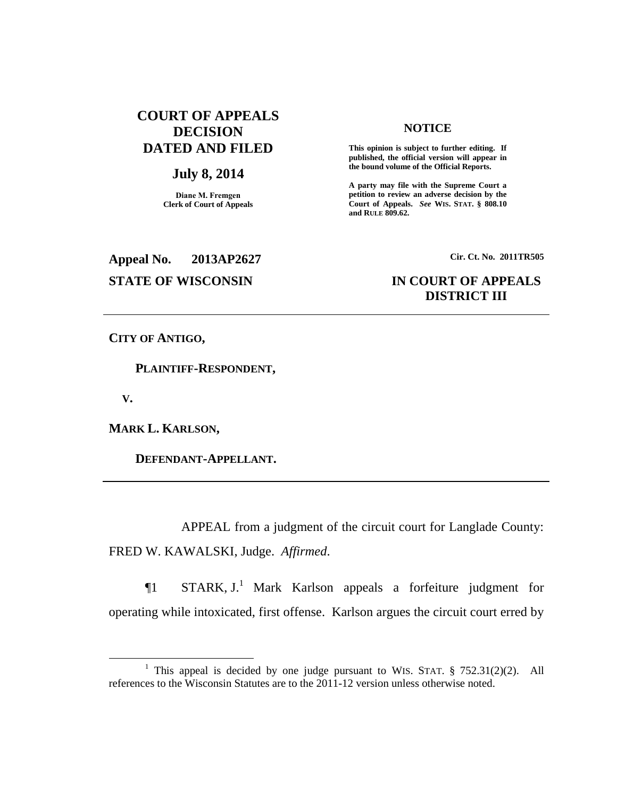# **COURT OF APPEALS DECISION DATED AND FILED**

## **July 8, 2014**

**Diane M. Fremgen Clerk of Court of Appeals**

### **NOTICE**

**This opinion is subject to further editing. If published, the official version will appear in the bound volume of the Official Reports.** 

**A party may file with the Supreme Court a petition to review an adverse decision by the Court of Appeals.** *See* **WIS. STAT. § 808.10 and RULE 809.62.** 

**Appeal No. 2013AP2627 Cir. Ct. No. 2011TR505**

# **STATE OF WISCONSIN IN COURT OF APPEALS DISTRICT III**

**CITY OF ANTIGO,**

 **PLAINTIFF-RESPONDENT,**

 **V.**

 $\overline{a}$ 

**MARK L. KARLSON,**

 **DEFENDANT-APPELLANT.**

APPEAL from a judgment of the circuit court for Langlade County: FRED W. KAWALSKI, Judge. *Affirmed*.

 $\P1$  STARK, J.<sup>1</sup> Mark Karlson appeals a forfeiture judgment for operating while intoxicated, first offense. Karlson argues the circuit court erred by

<sup>&</sup>lt;sup>1</sup> This appeal is decided by one judge pursuant to WIS. STAT. § 752.31(2)(2). All references to the Wisconsin Statutes are to the  $2011$ -12 version unless otherwise noted.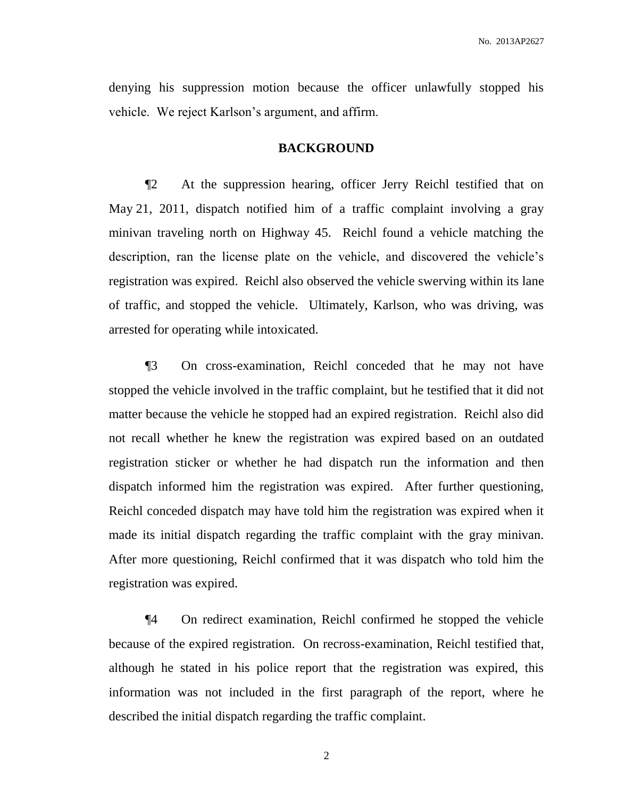denying his suppression motion because the officer unlawfully stopped his vehicle. We reject Karlson's argument, and affirm.

## **BACKGROUND**

¶2 At the suppression hearing, officer Jerry Reichl testified that on May 21, 2011, dispatch notified him of a traffic complaint involving a gray minivan traveling north on Highway 45. Reichl found a vehicle matching the description, ran the license plate on the vehicle, and discovered the vehicle's registration was expired. Reichl also observed the vehicle swerving within its lane of traffic, and stopped the vehicle. Ultimately, Karlson, who was driving, was arrested for operating while intoxicated.

¶3 On cross-examination, Reichl conceded that he may not have stopped the vehicle involved in the traffic complaint, but he testified that it did not matter because the vehicle he stopped had an expired registration. Reichl also did not recall whether he knew the registration was expired based on an outdated registration sticker or whether he had dispatch run the information and then dispatch informed him the registration was expired. After further questioning, Reichl conceded dispatch may have told him the registration was expired when it made its initial dispatch regarding the traffic complaint with the gray minivan. After more questioning, Reichl confirmed that it was dispatch who told him the registration was expired.

¶4 On redirect examination, Reichl confirmed he stopped the vehicle because of the expired registration. On recross-examination, Reichl testified that, although he stated in his police report that the registration was expired, this information was not included in the first paragraph of the report, where he described the initial dispatch regarding the traffic complaint.

2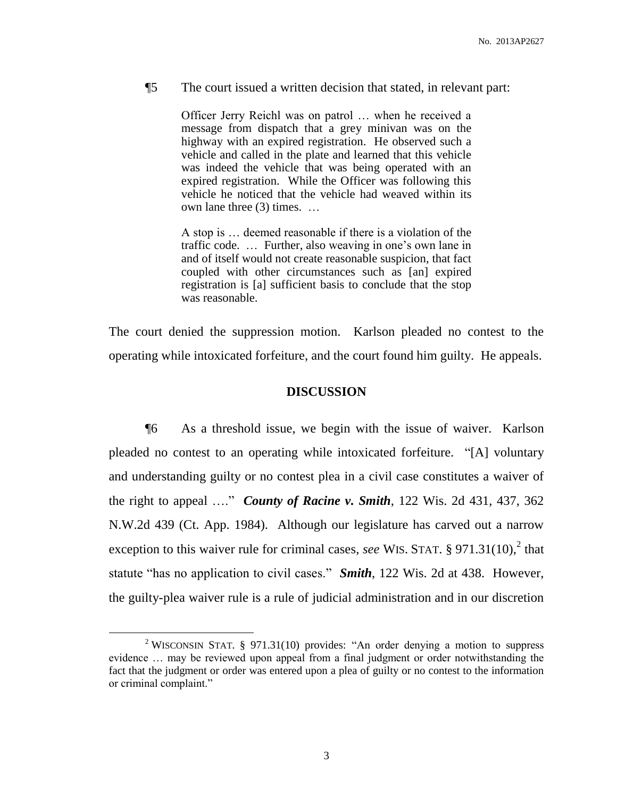### ¶5 The court issued a written decision that stated, in relevant part:

Officer Jerry Reichl was on patrol … when he received a message from dispatch that a grey minivan was on the highway with an expired registration. He observed such a vehicle and called in the plate and learned that this vehicle was indeed the vehicle that was being operated with an expired registration. While the Officer was following this vehicle he noticed that the vehicle had weaved within its own lane three (3) times. …

A stop is … deemed reasonable if there is a violation of the traffic code. … Further, also weaving in one's own lane in and of itself would not create reasonable suspicion, that fact coupled with other circumstances such as [an] expired registration is [a] sufficient basis to conclude that the stop was reasonable.

The court denied the suppression motion. Karlson pleaded no contest to the operating while intoxicated forfeiture, and the court found him guilty. He appeals.

### **DISCUSSION**

¶6 As a threshold issue, we begin with the issue of waiver. Karlson pleaded no contest to an operating while intoxicated forfeiture. "[A] voluntary and understanding guilty or no contest plea in a civil case constitutes a waiver of the right to appeal …." *County of Racine v. Smith*, 122 Wis. 2d 431, 437, 362 N.W.2d 439 (Ct. App. 1984). Although our legislature has carved out a narrow exception to this waiver rule for criminal cases, *see* WIS. STAT.  $\S 971.31(10)$ , that statute "has no application to civil cases." *Smith*, 122 Wis. 2d at 438. However, the guilty-plea waiver rule is a rule of judicial administration and in our discretion

 $\overline{a}$ 

<sup>&</sup>lt;sup>2</sup> WISCONSIN STAT. § 971.31(10) provides: "An order denying a motion to suppress evidence … may be reviewed upon appeal from a final judgment or order notwithstanding the fact that the judgment or order was entered upon a plea of guilty or no contest to the information or criminal complaint."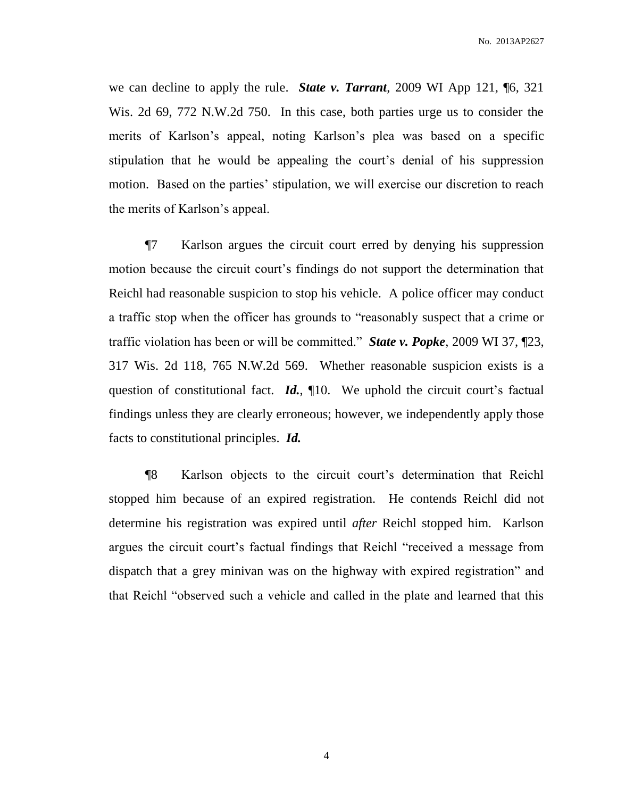we can decline to apply the rule. *State v. Tarrant*, 2009 WI App 121, ¶6, 321 Wis. 2d 69, 772 N.W.2d 750. In this case, both parties urge us to consider the merits of Karlson's appeal, noting Karlson's plea was based on a specific stipulation that he would be appealing the court's denial of his suppression motion. Based on the parties' stipulation, we will exercise our discretion to reach the merits of Karlson's appeal.

¶7 Karlson argues the circuit court erred by denying his suppression motion because the circuit court's findings do not support the determination that Reichl had reasonable suspicion to stop his vehicle. A police officer may conduct a traffic stop when the officer has grounds to "reasonably suspect that a crime or traffic violation has been or will be committed." *State v. Popke*, 2009 WI 37, ¶23, 317 Wis. 2d 118, 765 N.W.2d 569. Whether reasonable suspicion exists is a question of constitutional fact. *Id.*, 10. We uphold the circuit court's factual findings unless they are clearly erroneous; however, we independently apply those facts to constitutional principles. *Id.*

¶8 Karlson objects to the circuit court's determination that Reichl stopped him because of an expired registration. He contends Reichl did not determine his registration was expired until *after* Reichl stopped him. Karlson argues the circuit court's factual findings that Reichl "received a message from dispatch that a grey minivan was on the highway with expired registration" and that Reichl "observed such a vehicle and called in the plate and learned that this

4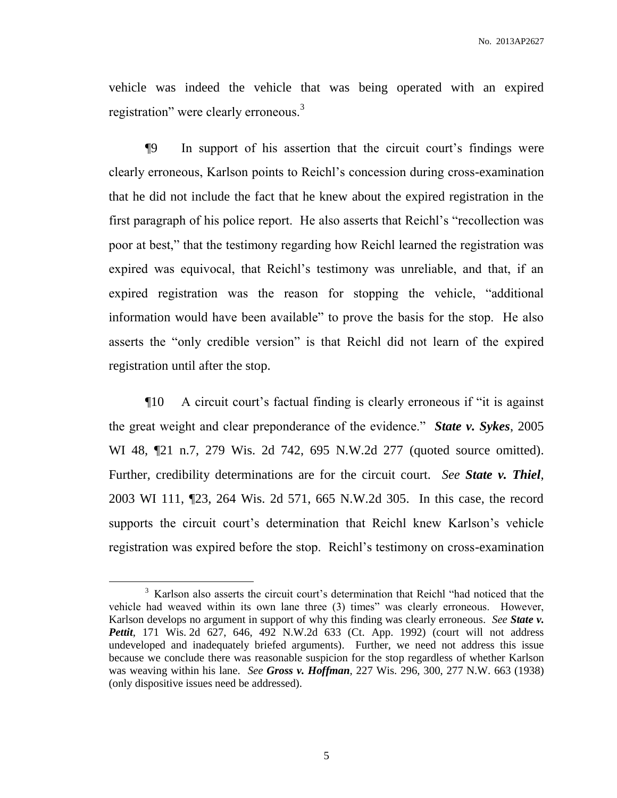vehicle was indeed the vehicle that was being operated with an expired registration" were clearly erroneous.<sup>3</sup>

¶9 In support of his assertion that the circuit court's findings were clearly erroneous, Karlson points to Reichl's concession during cross-examination that he did not include the fact that he knew about the expired registration in the first paragraph of his police report. He also asserts that Reichl's "recollection was poor at best," that the testimony regarding how Reichl learned the registration was expired was equivocal, that Reichl's testimony was unreliable, and that, if an expired registration was the reason for stopping the vehicle, "additional information would have been available" to prove the basis for the stop. He also asserts the "only credible version" is that Reichl did not learn of the expired registration until after the stop.

¶10 A circuit court's factual finding is clearly erroneous if "it is against the great weight and clear preponderance of the evidence." *State v. Sykes*, 2005 WI 48,  $\mathbb{Z}$ 1 n.7, 279 Wis. 2d 742, 695 N.W.2d 277 (quoted source omitted). Further, credibility determinations are for the circuit court. *See State v. Thiel*, 2003 WI 111, ¶23, 264 Wis. 2d 571, 665 N.W.2d 305. In this case, the record supports the circuit court's determination that Reichl knew Karlson's vehicle registration was expired before the stop. Reichl's testimony on cross-examination

 $\overline{a}$ 

5

<sup>&</sup>lt;sup>3</sup> Karlson also asserts the circuit court's determination that Reichl "had noticed that the vehicle had weaved within its own lane three (3) times" was clearly erroneous. However, Karlson develops no argument in support of why this finding was clearly erroneous. *See State v. Pettit*, 171 Wis. 2d 627, 646, 492 N.W.2d 633 (Ct. App. 1992) (court will not address undeveloped and inadequately briefed arguments). Further, we need not address this issue because we conclude there was reasonable suspicion for the stop regardless of whether Karlson was weaving within his lane. *See Gross v. Hoffman*, 227 Wis. 296, 300, 277 N.W. 663 (1938) (only dispositive issues need be addressed).